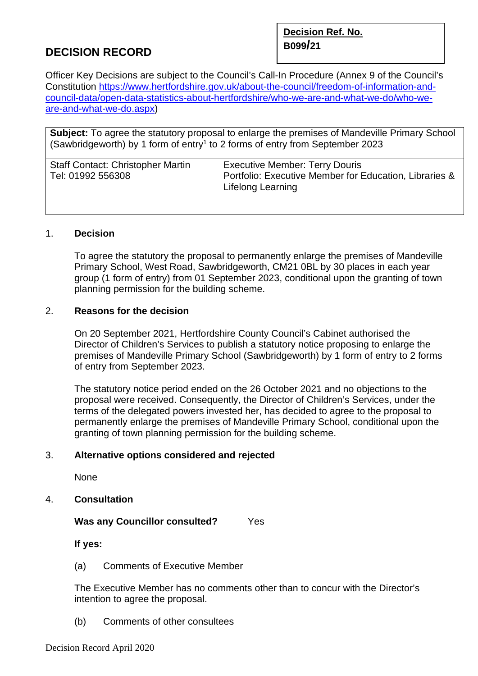# **B099/<sup>21</sup> DECISION RECORD**

**Decision Ref. No.** 

Officer Key Decisions are subject to the Council's Call-In Procedure (Annex 9 of the Council's Constitution [https://www.hertfordshire.gov.uk/about-the-council/freedom-of-information-and](https://www.hertfordshire.gov.uk/about-the-council/freedom-of-information-and-council-data/open-data-statistics-about-hertfordshire/who-we-are-and-what-we-do/who-we-are-and-what-we-do.aspx)[council-data/open-data-statistics-about-hertfordshire/who-we-are-and-what-we-do/who-we](https://www.hertfordshire.gov.uk/about-the-council/freedom-of-information-and-council-data/open-data-statistics-about-hertfordshire/who-we-are-and-what-we-do/who-we-are-and-what-we-do.aspx)[are-and-what-we-do.aspx\)](https://www.hertfordshire.gov.uk/about-the-council/freedom-of-information-and-council-data/open-data-statistics-about-hertfordshire/who-we-are-and-what-we-do/who-we-are-and-what-we-do.aspx)

**Subject:** To agree the statutory proposal to enlarge the premises of Mandeville Primary School (Sawbridgeworth) by 1 form of entry<sup>1</sup> to 2 forms of entry from September 2023

| <b>Staff Contact: Christopher Martin</b> | <b>Executive Member: Terry Douris</b>                  |
|------------------------------------------|--------------------------------------------------------|
| Tel: 01992 556308                        | Portfolio: Executive Member for Education, Libraries & |
|                                          | Lifelong Learning                                      |

# 1. **Decision**

To agree the statutory the proposal to permanently enlarge the premises of Mandeville Primary School, West Road, Sawbridgeworth, CM21 0BL by 30 places in each year group (1 form of entry) from 01 September 2023, conditional upon the granting of town planning permission for the building scheme.

# 2. **Reasons for the decision**

On 20 September 2021, Hertfordshire County Council's Cabinet authorised the Director of Children's Services to publish a statutory notice proposing to enlarge the premises of Mandeville Primary School (Sawbridgeworth) by 1 form of entry to 2 forms of entry from September 2023.

The statutory notice period ended on the 26 October 2021 and no objections to the proposal were received. Consequently, the Director of Children's Services, under the terms of the delegated powers invested her, has decided to agree to the proposal to permanently enlarge the premises of Mandeville Primary School, conditional upon the granting of town planning permission for the building scheme.

### 3. **Alternative options considered and rejected**

None

4. **Consultation** 

### **Was any Councillor consulted?** Yes

**If yes:** 

(a) Comments of Executive Member

The Executive Member has no comments other than to concur with the Director's intention to agree the proposal.

(b) Comments of other consultees